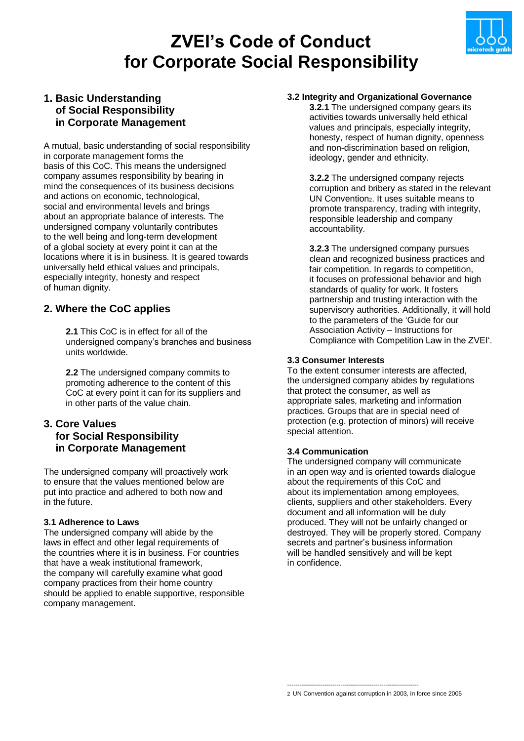# **ZVEI's Code of Conduct for Corporate Social Responsibility**



## **1. Basic Understanding of Social Responsibility in Corporate Management**

A mutual, basic understanding of social responsibility in corporate management forms the basis of this CoC. This means the undersigned company assumes responsibility by bearing in mind the consequences of its business decisions and actions on economic, technological, social and environmental levels and brings about an appropriate balance of interests. The undersigned company voluntarily contributes to the well being and long-term development of a global society at every point it can at the locations where it is in business. It is geared towards universally held ethical values and principals, especially integrity, honesty and respect of human dignity.

# **2. Where the CoC applies**

 **2.1** This CoC is in effect for all of the undersigned company's branches and business units worldwide.

 **2.2** The undersigned company commits to promoting adherence to the content of this CoC at every point it can for its suppliers and in other parts of the value chain.

## **3. Core Values for Social Responsibility in Corporate Management**

The undersigned company will proactively work to ensure that the values mentioned below are put into practice and adhered to both now and in the future.

## **3.1 Adherence to Laws**

The undersigned company will abide by the laws in effect and other legal requirements of the countries where it is in business. For countries that have a weak institutional framework, the company will carefully examine what good company practices from their home country should be applied to enable supportive, responsible company management.

## **3.2 Integrity and Organizational Governance**

 **3.2.1** The undersigned company gears its activities towards universally held ethical values and principals, especially integrity, honesty, respect of human dignity, openness and non-discrimination based on religion, ideology, gender and ethnicity.

 **3.2.2** The undersigned company rejects corruption and bribery as stated in the relevant UN Convention2. It uses suitable means to promote transparency, trading with integrity, responsible leadership and company accountability.

 **3.2.3** The undersigned company pursues clean and recognized business practices and fair competition. In regards to competition, it focuses on professional behavior and high standards of quality for work. It fosters partnership and trusting interaction with the supervisory authorities. Additionally, it will hold to the parameters of the 'Guide for our Association Activity – Instructions for Compliance with Competition Law in the ZVEI'.

## **3.3 Consumer Interests**

To the extent consumer interests are affected, the undersigned company abides by regulations that protect the consumer, as well as appropriate sales, marketing and information practices. Groups that are in special need of protection (e.g. protection of minors) will receive special attention.

## **3.4 Communication**

The undersigned company will communicate in an open way and is oriented towards dialogue about the requirements of this CoC and about its implementation among employees, clients, suppliers and other stakeholders. Every document and all information will be duly produced. They will not be unfairly changed or destroyed. They will be properly stored. Company secrets and partner's business information will be handled sensitively and will be kept in confidence.

----------------------------------------------------------------

<sup>2</sup> UN Convention against corruption in 2003, in force since 2005